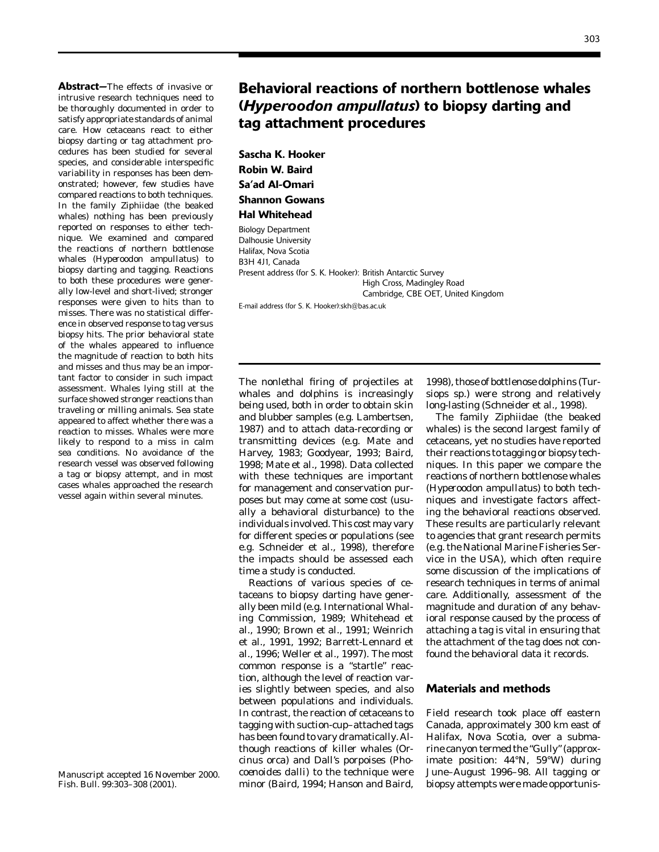**Abstract—**The effects of invasive or intrusive research techniques need to be thoroughly documented in order to satisfy appropriate standards of animal care. How cetaceans react to either biopsy darting or tag attachment procedures has been studied for several species, and considerable interspecific variability in responses has been demonstrated; however, few studies have compared reactions to both techniques. In the family Ziphiidae (the beaked whales) nothing has been previously reported on responses to either technique. We examined and compared the reactions of northern bottlenose whales (*Hyperoodon ampullatus*) to biopsy darting and tagging. Reactions to both these procedures were generally low-level and short-lived; stronger responses were given to hits than to misses. There was no statistical difference in observed response to tag versus biopsy hits. The prior behavioral state of the whales appeared to influence the magnitude of reaction to both hits and misses and thus may be an important factor to consider in such impact assessment. Whales lying still at the surface showed stronger reactions than traveling or milling animals. Sea state appeared to affect whether there was a reaction to misses. Whales were more likely to respond to a miss in calm sea conditions. No avoidance of the research vessel was observed following a tag or biopsy attempt, and in most cases whales approached the research vessel again within several minutes.

Manuscript accepted 16 November 2000. Fish. Bull. 99:303–308 (2001).

# **Behavioral reactions of northern bottlenose whales (***Hyperoodon ampullatus***) to biopsy darting and tag attachment procedures**

**Sascha K. Hooker Robin W. Baird Sa'ad Al-Omari Shannon Gowans Hal Whitehead**

Biology Department Dalhousie University Halifax, Nova Scotia B3H 4J1, Canada Present address (for S. K. Hooker): British Antarctic Survey High Cross, Madingley Road Cambridge, CBE OET, United Kingdom E-mail address (for S. K. Hooker):skh@bas.ac.uk

The nonlethal firing of projectiles at whales and dolphins is increasingly being used, both in order to obtain skin and blubber samples (e.g. Lambertsen, 1987) and to attach data-recording or transmitting devices (e.g. Mate and Harvey, 1983; Goodyear, 1993; Baird, 1998; Mate et al., 1998). Data collected with these techniques are important for management and conservation purposes but may come at some cost (usually a behavioral disturbance) to the individuals involved. This cost may vary for different species or populations (see e.g. Schneider et al., 1998), therefore the impacts should be assessed each time a study is conducted.

Reactions of various species of cetaceans to biopsy darting have generally been mild (e.g. International Whaling Commission, 1989; Whitehead et al., 1990; Brown et al., 1991; Weinrich et al., 1991, 1992; Barrett-Lennard et al., 1996; Weller et al., 1997). The most common response is a "startle" reaction, although the level of reaction varies slightly between species, and also between populations and individuals. In contrast, the reaction of cetaceans to tagging with suction-cup–attached tags has been found to vary dramatically. Although reactions of killer whales (*Orcinus orca*) and Dall's porpoises (*Phocoenoides dalli*) to the technique were minor (Baird, 1994; Hanson and Baird,

1998), those of bottlenose dolphins (*Tursiops* sp.) were strong and relatively long-lasting (Schneider et al., 1998).

The family Ziphiidae (the beaked whales) is the second largest family of cetaceans, yet no studies have reported their reactions to tagging or biopsy techniques. In this paper we compare the reactions of northern bottlenose whales (*Hyperoodon ampullatus*) to both techniques and investigate factors affecting the behavioral reactions observed. These results are particularly relevant to agencies that grant research permits (e.g. the National Marine Fisheries Service in the USA), which often require some discussion of the implications of research techniques in terms of animal care. Additionally, assessment of the magnitude and duration of any behavioral response caused by the process of attaching a tag is vital in ensuring that the attachment of the tag does not confound the behavioral data it records.

## **Materials and methods**

Field research took place off eastern Canada, approximately 300 km east of Halifax, Nova Scotia, over a submarine canyon termed the "Gully" (approximate position: 44°N, 59°W) during June–August 1996–98. All tagging or biopsy attempts were made opportunis-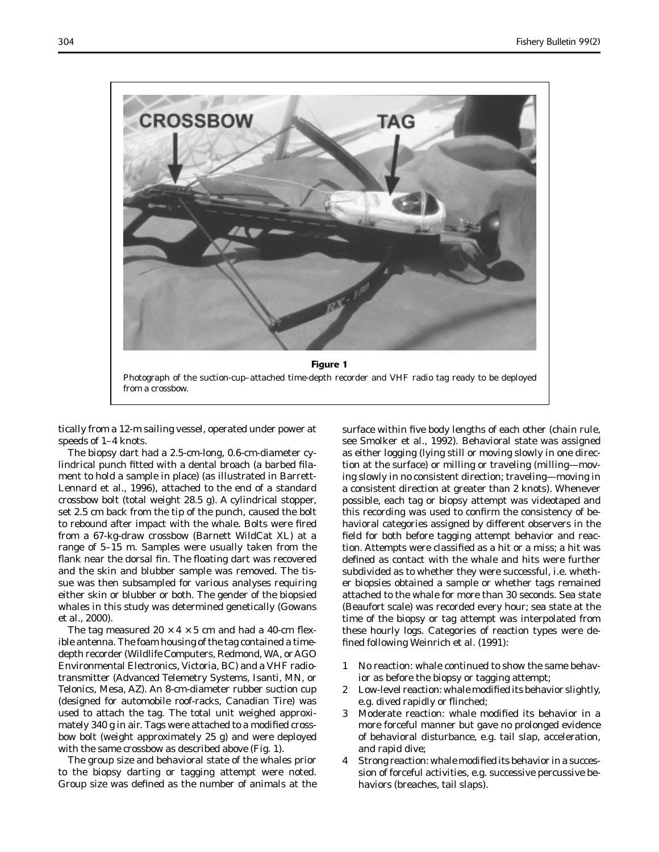

tically from a 12-m sailing vessel, operated under power at speeds of 1–4 knots.

The biopsy dart had a 2.5-cm-long, 0.6-cm-diameter cylindrical punch fitted with a dental broach (a barbed filament to hold a sample in place) (as illustrated in Barrett-Lennard et al., 1996), attached to the end of a standard crossbow bolt (total weight 28.5 g). A cylindrical stopper, set 2.5 cm back from the tip of the punch, caused the bolt to rebound after impact with the whale. Bolts were fired from a 67-kg-draw crossbow (Barnett WildCat XL) at a range of 5–15 m. Samples were usually taken from the flank near the dorsal fin. The floating dart was recovered and the skin and blubber sample was removed. The tissue was then subsampled for various analyses requiring either skin or blubber or both. The gender of the biopsied whales in this study was determined genetically (Gowans et al., 2000).

The tag measured  $20 \cdot 4 \cdot 5$  cm and had a 40-cm flexible antenna. The foam housing of the tag contained a timedepth recorder (Wildlife Computers, Redmond, WA, or AGO Environmental Electronics, Victoria, BC) and a VHF radiotransmitter (Advanced Telemetry Systems, Isanti, MN, or Telonics, Mesa, AZ). An 8-cm-diameter rubber suction cup (designed for automobile roof-racks, Canadian Tire) was used to attach the tag. The total unit weighed approximately 340 g in air. Tags were attached to a modified crossbow bolt (weight approximately 25 g) and were deployed with the same crossbow as described above (Fig. 1).

The group size and behavioral state of the whales prior to the biopsy darting or tagging attempt were noted. Group size was defined as the number of animals at the surface within five body lengths of each other (chain rule, see Smolker et al., 1992). Behavioral state was assigned as either logging (lying still or moving slowly in one direction at the surface) or milling or traveling (milling—moving slowly in no consistent direction; traveling—moving in a consistent direction at greater than 2 knots). Whenever possible, each tag or biopsy attempt was videotaped and this recording was used to confirm the consistency of behavioral categories assigned by different observers in the field for both before tagging attempt behavior and reaction. Attempts were classified as a hit or a miss; a hit was defined as contact with the whale and hits were further subdivided as to whether they were successful, i.e. whether biopsies obtained a sample or whether tags remained attached to the whale for more than 30 seconds. Sea state (Beaufort scale) was recorded every hour; sea state at the time of the biopsy or tag attempt was interpolated from these hourly logs. Categories of reaction types were defined following Weinrich et al. (1991):

- 1 No reaction: whale continued to show the same behavior as before the biopsy or tagging attempt;
- 2 Low-level reaction: whale modified its behavior slightly, e.g. dived rapidly or flinched;
- Moderate reaction: whale modified its behavior in a more forceful manner but gave no prolonged evidence of behavioral disturbance, e.g. tail slap, acceleration, and rapid dive;
- 4 Strong reaction: whale modified its behavior in a succession of forceful activities, e.g. successive percussive behaviors (breaches, tail slaps).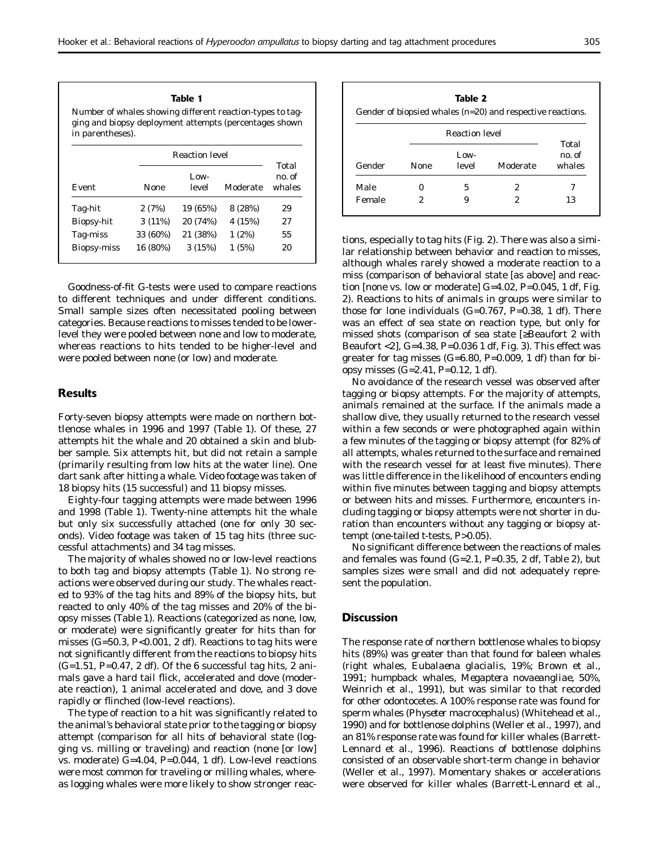| Table 1<br>Number of whales showing different reaction-types to tag-<br>ging and biopsy deployment attempts (percentages shown<br>in parentheses). |                |               |          |                           |  |  |
|----------------------------------------------------------------------------------------------------------------------------------------------------|----------------|---------------|----------|---------------------------|--|--|
| Event                                                                                                                                              | Reaction level |               |          |                           |  |  |
|                                                                                                                                                    | None           | Low-<br>level | Moderate | Total<br>no. of<br>whales |  |  |
| Tag-hit                                                                                                                                            | 2(7%)          | 19 (65%)      | 8 (28%)  | 29                        |  |  |
| Biopsy-hit                                                                                                                                         | 3(11%)         | 20 (74%)      | 4 (15%)  | 27                        |  |  |
| Tag-miss                                                                                                                                           | 33 (60%)       | 21 (38%)      | 1(2%)    | 55                        |  |  |
| <b>Biopsy-miss</b>                                                                                                                                 | 16 (80%)       | 3(15%)        | 1(5%)    | 20                        |  |  |

Goodness-of-fit *G*-tests were used to compare reactions to different techniques and under different conditions. Small sample sizes often necessitated pooling between categories. Because reactions to misses tended to be lowerlevel they were pooled between none and low to moderate, whereas reactions to hits tended to be higher-level and were pooled between none (or low) and moderate.

# **Results**

Forty-seven biopsy attempts were made on northern bottlenose whales in 1996 and 1997 (Table 1). Of these, 27 attempts hit the whale and 20 obtained a skin and blubber sample. Six attempts hit, but did not retain a sample (primarily resulting from low hits at the water line). One dart sank after hitting a whale. Video footage was taken of 18 biopsy hits (15 successful) and 11 biopsy misses.

Eighty-four tagging attempts were made between 1996 and 1998 (Table 1). Twenty-nine attempts hit the whale but only six successfully attached (one for only 30 seconds). Video footage was taken of 15 tag hits (three successful attachments) and 34 tag misses.

The majority of whales showed no or low-level reactions to both tag and biopsy attempts (Table 1). No strong reactions were observed during our study. The whales reacted to 93% of the tag hits and 89% of the biopsy hits, but reacted to only 40% of the tag misses and 20% of the biopsy misses (Table 1). Reactions (categorized as none, low, or moderate) were significantly greater for hits than for misses (*G*=50.3, *P*<0.001, 2 df). Reactions to tag hits were not significantly different from the reactions to biopsy hits (*G*=1.51, *P*=0.47, 2 df). Of the 6 successful tag hits, 2 animals gave a hard tail flick, accelerated and dove (moderate reaction), 1 animal accelerated and dove, and 3 dove rapidly or flinched (low-level reactions).

The type of reaction to a hit was significantly related to the animal's behavioral state prior to the tagging or biopsy attempt (comparison for all hits of behavioral state (logging vs. milling or traveling) and reaction (none [or low] vs. moderate) *G*=4.04, *P*=0.044, 1 df). Low-level reactions were most common for traveling or milling whales, whereas logging whales were more likely to show stronger reac-

|        |      | <b>Reaction level</b> |          |                           |  |
|--------|------|-----------------------|----------|---------------------------|--|
| Gender | None | Low-<br>level         | Moderate | Total<br>no. of<br>whales |  |
| Male   | 0    | 5                     | 2        | 7                         |  |
| Female | 2    | 9                     | 2.       | 13                        |  |

tions, especially to tag hits (Fig. 2). There was also a similar relationship between behavior and reaction to misses, although whales rarely showed a moderate reaction to a miss (comparison of behavioral state [as above] and reaction [none vs. low or moderate] *G*=4.02, *P*=0.045, 1 df, Fig. 2). Reactions to hits of animals in groups were similar to those for lone individuals (*G*=0.767, *P*=0.38, 1 df). There was an effect of sea state on reaction type, but only for missed shots (comparison of sea state [≥Beaufort 2 with Beaufort <2], *G*=4.38, *P*=0.036 1 df, Fig. 3). This effect was greater for tag misses (*G*=6.80, *P*=0.009, 1 df) than for biopsy misses (*G*=2.41, *P*=0.12, 1 df).

No avoidance of the research vessel was observed after tagging or biopsy attempts. For the majority of attempts, animals remained at the surface. If the animals made a shallow dive, they usually returned to the research vessel within a few seconds or were photographed again within a few minutes of the tagging or biopsy attempt (for 82% of all attempts, whales returned to the surface and remained with the research vessel for at least five minutes). There was little difference in the likelihood of encounters ending within five minutes between tagging and biopsy attempts or between hits and misses. Furthermore, encounters including tagging or biopsy attempts were not shorter in duration than encounters without any tagging or biopsy attempt (one-tailed *t*-tests, *P*>0.05).

No significant difference between the reactions of males and females was found (*G*=2.1, *P=*0.35, 2 df, Table 2), but samples sizes were small and did not adequately represent the population.

#### **Discussion**

The response rate of northern bottlenose whales to biopsy hits (89%) was greater than that found for baleen whales (right whales, *Eubalaena glacialis*, 19%; Brown et al., 1991; humpback whales, *Megaptera novaeangliae,* 50%, Weinrich et al., 1991), but was similar to that recorded for other odontocetes. A 100% response rate was found for sperm whales (*Physeter macrocephalus)* (Whitehead et al., 1990) and for bottlenose dolphins (Weller et al., 1997), and an 81% response rate was found for killer whales (Barrett-Lennard et al., 1996). Reactions of bottlenose dolphins consisted of an observable short-term change in behavior (Weller et al., 1997). Momentary shakes or accelerations were observed for killer whales (Barrett-Lennard et al.,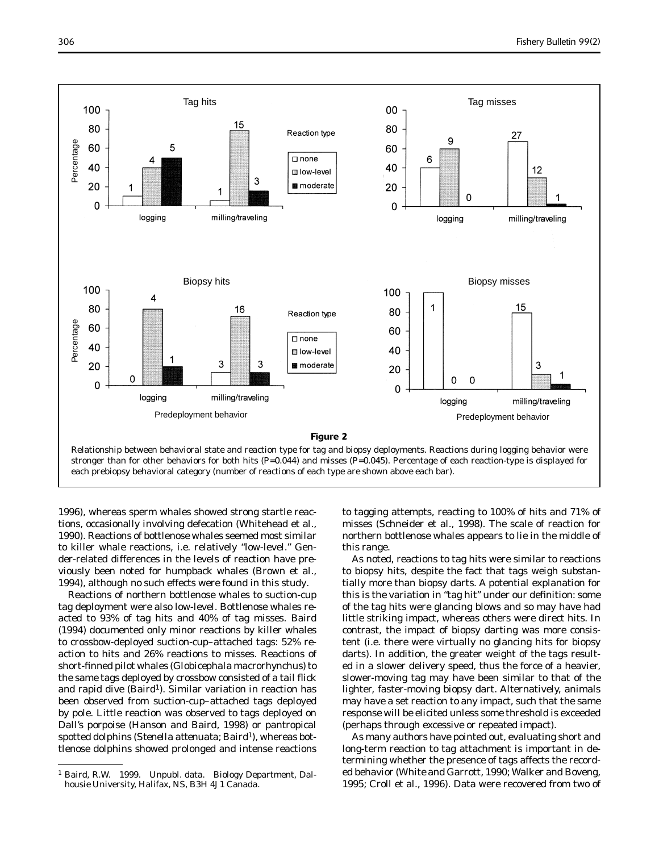

1996), whereas sperm whales showed strong startle reactions, occasionally involving defecation (Whitehead et al., 1990). Reactions of bottlenose whales seemed most similar to killer whale reactions, i.e. relatively "low-level." Gender-related differences in the levels of reaction have previously been noted for humpback whales (Brown et al., 1994), although no such effects were found in this study.

Reactions of northern bottlenose whales to suction-cup tag deployment were also low-level. Bottlenose whales reacted to 93% of tag hits and 40% of tag misses. Baird (1994) documented only minor reactions by killer whales to crossbow-deployed suction-cup–attached tags: 52% reaction to hits and 26% reactions to misses. Reactions of short-fi nned pilot whales (*Globicephala macrorhynchus*) to the same tags deployed by crossbow consisted of a tail flick and rapid dive (Baird<sup>1</sup>). Similar variation in reaction has been observed from suction-cup–attached tags deployed by pole. Little reaction was observed to tags deployed on Dall's porpoise (Hanson and Baird, 1998) or pantropical spotted dolphins (*Stenella attenuata*; Baird<sup>1</sup>), whereas bottlenose dolphins showed prolonged and intense reactions

to tagging attempts, reacting to 100% of hits and 71% of misses (Schneider et al., 1998). The scale of reaction for northern bottlenose whales appears to lie in the middle of this range.

As noted, reactions to tag hits were similar to reactions to biopsy hits, despite the fact that tags weigh substantially more than biopsy darts. A potential explanation for this is the variation in "tag hit" under our definition: some of the tag hits were glancing blows and so may have had little striking impact, whereas others were direct hits. In contrast, the impact of biopsy darting was more consistent (i.e. there were virtually no glancing hits for biopsy darts). In addition, the greater weight of the tags resulted in a slower delivery speed, thus the force of a heavier, slower-moving tag may have been similar to that of the lighter, faster-moving biopsy dart. Alternatively, animals may have a set reaction to any impact, such that the same response will be elicited unless some threshold is exceeded (perhaps through excessive or repeated impact).

As many authors have pointed out, evaluating short and long-term reaction to tag attachment is important in determining whether the presence of tags affects the recorded behavior (White and Garrott, 1990; Walker and Boveng, 1995; Croll et al., 1996). Data were recovered from two of

<sup>1</sup> Baird, R.W. 1999. Unpubl. data. Biology Department, Dal-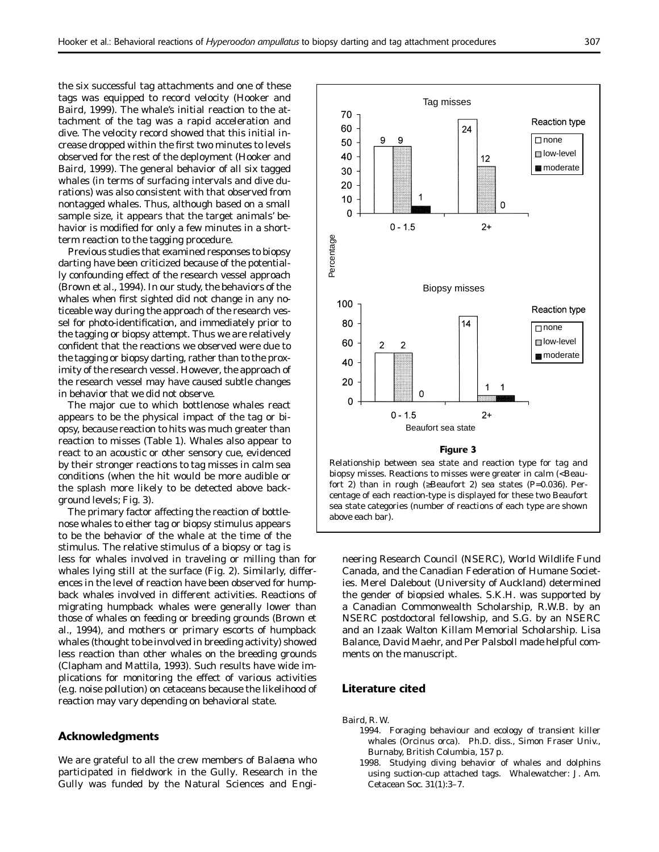the six successful tag attachments and one of these tags was equipped to record velocity (Hooker and Baird, 1999). The whale's initial reaction to the attachment of the tag was a rapid acceleration and dive. The velocity record showed that this initial increase dropped within the first two minutes to levels observed for the rest of the deployment (Hooker and Baird, 1999). The general behavior of all six tagged whales (in terms of surfacing intervals and dive durations) was also consistent with that observed from nontagged whales. Thus, although based on a small sample size, it appears that the target animals' behavior is modified for only a few minutes in a shortterm reaction to the tagging procedure.

Previous studies that examined responses to biopsy darting have been criticized because of the potentially confounding effect of the research vessel approach (Brown et al., 1994). In our study, the behaviors of the whales when first sighted did not change in any noticeable way during the approach of the research vessel for photo-identification, and immediately prior to the tagging or biopsy attempt. Thus we are relatively confident that the reactions we observed were due to the tagging or biopsy darting, rather than to the proximity of the research vessel. However, the approach of the research vessel may have caused subtle changes in behavior that we did not observe.

The major cue to which bottlenose whales react appears to be the physical impact of the tag or biopsy, because reaction to hits was much greater than reaction to misses (Table 1). Whales also appear to react to an acoustic or other sensory cue, evidenced by their stronger reactions to tag misses in calm sea conditions (when the hit would be more audible or the splash more likely to be detected above background levels; Fig. 3).

The primary factor affecting the reaction of bottlenose whales to either tag or biopsy stimulus appears to be the behavior of the whale at the time of the stimulus. The relative stimulus of a biopsy or tag is less for whales involved in traveling or milling than for whales lying still at the surface (Fig. 2). Similarly, differences in the level of reaction have been observed for humpback whales involved in different activities. Reactions of migrating humpback whales were generally lower than those of whales on feeding or breeding grounds (Brown et al., 1994), and mothers or primary escorts of humpback whales (thought to be involved in breeding activity) showed less reaction than other whales on the breeding grounds (Clapham and Mattila, 1993). Such results have wide implications for monitoring the effect of various activities (e.g. noise pollution) on cetaceans because the likelihood of reaction may vary depending on behavioral state.

## **Acknowledgments**

We are grateful to all the crew members of *Balaena* who participated in fieldwork in the Gully. Research in the Gully was funded by the Natural Sciences and Engi-



biopsy misses. Reactions to misses were greater in calm (<Beaufort 2) than in rough (≥Beaufort 2) sea states (*P*=0.036). Percentage of each reaction-type is displayed for these two Beaufort sea state categories (number of reactions of each type are shown above each bar).

neering Research Council (NSERC), World Wildlife Fund Canada, and the Canadian Federation of Humane Societies. Merel Dalebout (University of Auckland) determined the gender of biopsied whales. S.K.H. was supported by a Canadian Commonwealth Scholarship, R.W.B. by an NSERC postdoctoral fellowship, and S.G. by an NSERC and an Izaak Walton Killam Memorial Scholarship. Lisa Balance, David Maehr, and Per Palsboll made helpful comments on the manuscript.

### **Literature cited**

#### Baird, R. W.

- 1994. Foraging behaviour and ecology of *transient* killer whales (*Orcinus orca*). Ph.D. diss., Simon Fraser Univ., Burnaby, British Columbia, 157 p.
- 1998. Studying diving behavior of whales and dolphins using suction-cup attached tags. Whalewatcher: J. Am. Cetacean Soc. 31(1):3–7.